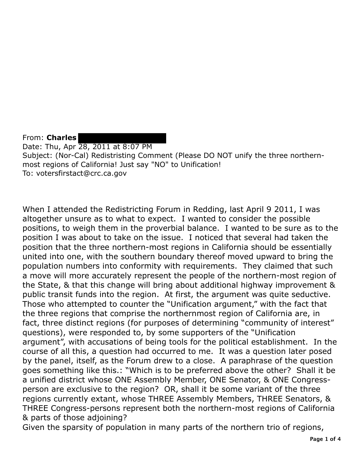From: **Charles**  Date: Thu, Apr 28, 2011 at 8:07 PM Subject: (Nor-Cal) Redistristing Comment (Please DO NOT unify the three northernmost regions of California! Just say "NO" to Unification! To: votersfirstact@crc.ca.gov

When I attended the Redistricting Forum in Redding, last April 9 2011, I was altogether unsure as to what to expect. I wanted to consider the possible positions, to weigh them in the proverbial balance. I wanted to be sure as to the position I was about to take on the issue. I noticed that several had taken the position that the three northern-most regions in California should be essentially united into one, with the southern boundary thereof moved upward to bring the population numbers into conformity with requirements. They claimed that such a move will more accurately represent the people of the northern-most region of the State, & that this change will bring about additional highway improvement & public transit funds into the region. At first, the argument was quite seductive. Those who attempted to counter the "Unification argument," with the fact that the three regions that comprise the northernmost region of California are, in fact, three distinct regions (for purposes of determining "community of interest" questions), were responded to, by some supporters of the "Unification argument", with accusations of being tools for the political establishment. In the course of all this, a question had occurred to me. It was a question later posed by the panel, itself, as the Forum drew to a close. A paraphrase of the question goes something like this.: "Which is to be preferred above the other? Shall it be a unified district whose ONE Assembly Member, ONE Senator, & ONE Congressperson are exclusive to the region? OR, shall it be some variant of the three regions currently extant, whose THREE Assembly Members, THREE Senators, & THREE Congress-persons represent both the northern-most regions of California & parts of those adjoining?

Given the sparsity of population in many parts of the northern trio of regions,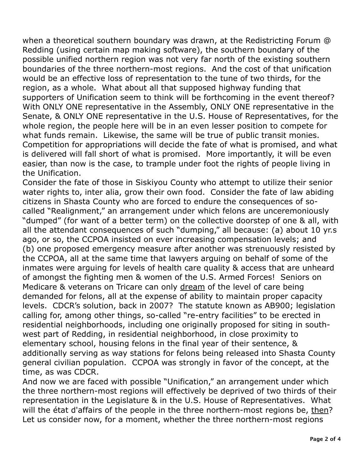when a theoretical southern boundary was drawn, at the Redistricting Forum @ Redding (using certain map making software), the southern boundary of the possible unified northern region was not very far north of the existing southern boundaries of the three northern-most regions. And the cost of that unification would be an effective loss of representation to the tune of two thirds, for the region, as a whole. What about all that supposed highway funding that supporters of Unification seem to think will be forthcoming in the event thereof? With ONLY ONE representative in the Assembly, ONLY ONE representative in the Senate, & ONLY ONE representative in the U.S. House of Representatives, for the whole region, the people here will be in an even lesser position to compete for what funds remain. Likewise, the same will be true of public transit monies. Competition for appropriations will decide the fate of what is promised, and what is delivered will fall short of what is promised. More importantly, it will be even easier, than now is the case, to trample under foot the rights of people living in the Unification.

the Unification.<br>Consider the fate of those in Siskiyou County who attempt to utilize their senior water rights to, inter alia, grow their own food. Consider the fate of law abiding citizens in Shasta County who are forced to endure the consequences of so- called "Realignment," an arrangement under which felons are unceremoniously "dumped" (for want of a better term) on the collective doorstep of one & all, with all the attendant consequences of such "dumping," all because: (a) about 10 yr.s ago, or so, the CCPOA insisted on ever increasing compensation levels; and (b) one proposed emergency measure after another was strenuously resisted by the CCPOA, all at the same time that lawyers arguing on behalf of some of the inmates were arguing for levels of health care quality & access that are unheard of amongst the fighting men & women of the U.S. Armed Forces! Seniors on Medicare & veterans on Tricare can only dream of the level of care being demanded for felons, all at the expense of ability to maintain proper capacity levels. CDCR's solution, back in 2007? The statute known as AB900; legislation calling for, among other things, so-called "re-entry facilities" to be erected in residential neighborhoods, including one originally proposed for siting in south- west part of Redding, in residential neighborhood, in close proximity to elementary school, housing felons in the final year of their sentence, & additionally serving as way stations for felons being released into Shasta County general civilian population. CCPOA was strongly in favor of the concept, at the time, as was CDCR.

time, as was CDCR.<br>And now we are faced with possible "Unification," an arrangement under which the three northern-most regions will effectively be deprived of two thirds of their representation in the Legislature & in the U.S. House of Representatives. What will the état d'affairs of the people in the three northern-most regions be, then? Let us consider now, for a moment, whether the three northern-most regions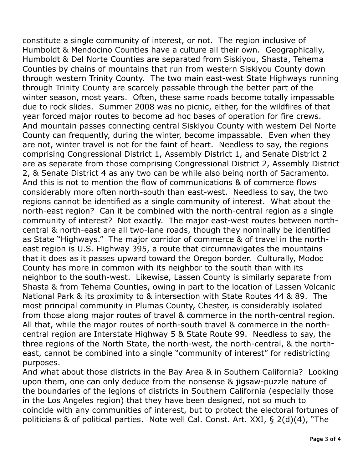constitute a single community of interest, or not. The region inclusive of Humboldt & Mendocino Counties have a culture all their own. Geographically, Humboldt & Del Norte Counties are separated from Siskiyou, Shasta, Tehema Counties by chains of mountains that run from western Siskiyou County down through western Trinity County. The two main east-west State Highways running through Trinity County are scarcely passable through the better part of the winter season, most years. Often, these same roads become totally impassable due to rock slides. Summer 2008 was no picnic, either, for the wildfires of that year forced major routes to become ad hoc bases of operation for fire crews. And mountain passes connecting central Siskiyou County with western Del Norte County can frequently, during the winter, become impassable. Even when they are not, winter travel is not for the faint of heart. Needless to say, the regions comprising Congressional District 1, Assembly District 1, and Senate District 2 are as separate from those comprising Congressional District 2, Assembly District 2, & Senate District 4 as any two can be while also being north of Sacramento. And this is not to mention the flow of communications & of commerce flows considerably more often north-south than east-west. Needless to say, the two regions cannot be identified as a single community of interest. What about the north-east region? Can it be combined with the north-central region as a single community of interest? Not exactly. The major east-west routes between north- central & north-east are all two-lane roads, though they nominally be identified as State "Highways." The major corridor of commerce & of travel in the north- east region is U.S. Highway 395, a route that circumnavigates the mountains that it does as it passes upward toward the Oregon border. Culturally, Modoc County has more in common with its neighbor to the south than with its neighbor to the south-west. Likewise, Lassen County is similarly separate from Shasta & from Tehema Counties, owing in part to the location of Lassen Volcanic National Park & its proximity to & intersection with State Routes 44 & 89. The most principal community in Plumas County, Chester, is considerably isolated from those along major routes of travel & commerce in the north-central region. All that, while the major routes of north-south travel & commerce in the north- central region are Interstate Highway 5 & State Route 99. Needless to say, the three regions of the North State, the north-west, the north-central, & the north- east, cannot be combined into a single "community of interest" for redistricting purposes.

purposes.<br>And what about those districts in the Bay Area & in Southern California? Looking upon them, one can only deduce from the nonsense & jigsaw-puzzle nature of the boundaries of the legions of districts in Southern California (especially those in the Los Angeles region) that they have been designed, not so much to coincide with any communities of interest, but to protect the electoral fortunes of politicians & of political parties. Note well Cal. Const. Art. XXI, § 2(d)(4), "The